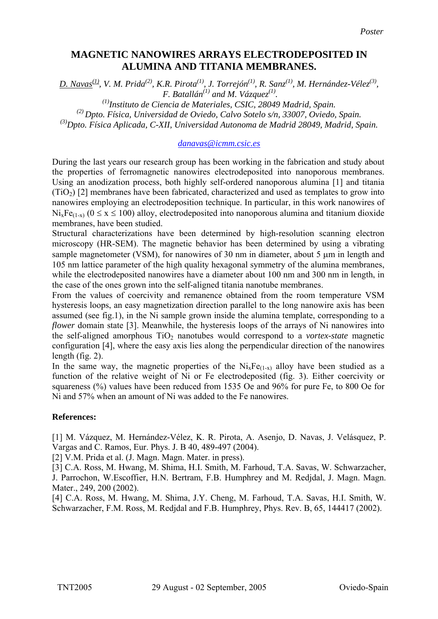## **MAGNETIC NANOWIRES ARRAYS ELECTRODEPOSITED IN ALUMINA AND TITANIA MEMBRANES.**

*D. Navas*<sup>(1)</sup>, *V. M. Prida*<sup>(2)</sup>, *K.R. Pirota*<sup>(1)</sup>, *J. Torrejón*<sup>(1)</sup>, *R. Sanz*<sup>(1)</sup>, *M. Hernández-Vélez*<sup>(3)</sup>, *F. Batallán*<sup>(1)</sup> and *M. Vázauez*<sup>(1)</sup>.

<sup>(1)</sup> Instituto de Ciencia de Materiales, CSIC, 28049 Madrid, Spain. *(2) Dpto. Física, Universidad de Oviedo, Calvo Sotelo s/n, 33007, Oviedo, Spain. (3)Dpto. Física Aplicada, C-XII, Universidad Autonoma de Madrid 28049, Madrid, Spain.* 

## *[danavas@icmm.csic.es](mailto:danavas@icmm.csic.es)*

During the last years our research group has been working in the fabrication and study about the properties of ferromagnetic nanowires electrodeposited into nanoporous membranes. Using an anodization process, both highly self-ordered nanoporous alumina [1] and titania  $(TiO<sub>2</sub>)$  [2] membranes have been fabricated, characterized and used as templates to grow into nanowires employing an electrodeposition technique. In particular, in this work nanowires of  $Ni_xFe_{(1-x)}$  ( $0 \le x \le 100$ ) alloy, electrodeposited into nanoporous alumina and titanium dioxide membranes, have been studied.

Structural characterizations have been determined by high-resolution scanning electron microscopy (HR-SEM). The magnetic behavior has been determined by using a vibrating sample magnetometer (VSM), for nanowires of 30 nm in diameter, about 5 µm in length and 105 nm lattice parameter of the high quality hexagonal symmetry of the alumina membranes, while the electrodeposited nanowires have a diameter about 100 nm and 300 nm in length, in the case of the ones grown into the self-aligned titania nanotube membranes.

From the values of coercivity and remanence obtained from the room temperature VSM hysteresis loops, an easy magnetization direction parallel to the long nanowire axis has been assumed (see fig.1), in the Ni sample grown inside the alumina template, corresponding to a *flower* domain state [3]. Meanwhile, the hysteresis loops of the arrays of Ni nanowires into the self-aligned amorphous TiO<sub>2</sub> nanotubes would correspond to a *vortex-state* magnetic configuration [4], where the easy axis lies along the perpendicular direction of the nanowires length (fig. 2).

In the same way, the magnetic properties of the  $Ni_xFe_{(1-x)}$  alloy have been studied as a function of the relative weight of Ni or Fe electrodeposited (fig. 3). Either coercivity or squareness (%) values have been reduced from 1535 Oe and 96% for pure Fe, to 800 Oe for Ni and 57% when an amount of Ni was added to the Fe nanowires.

## **References:**

[1] M. Vázquez, M. Hernández-Vélez, K. R. Pirota, A. Asenjo, D. Navas, J. Velásquez, P. Vargas and C. Ramos, Eur. Phys. J. B 40, 489-497 (2004).

[2] V.M. Prida et al. (J. Magn. Magn. Mater. in press).

[3] C.A. Ross, M. Hwang, M. Shima, H.I. Smith, M. Farhoud, T.A. Savas, W. Schwarzacher, J. Parrochon, W.Escoffier, H.N. Bertram, F.B. Humphrey and M. Redjdal, J. Magn. Magn. Mater., 249, 200 (2002).

[4] C.A. Ross, M. Hwang, M. Shima, J.Y. Cheng, M. Farhoud, T.A. Savas, H.I. Smith, W. Schwarzacher, F.M. Ross, M. Redjdal and F.B. Humphrey, Phys. Rev. B, 65, 144417 (2002).